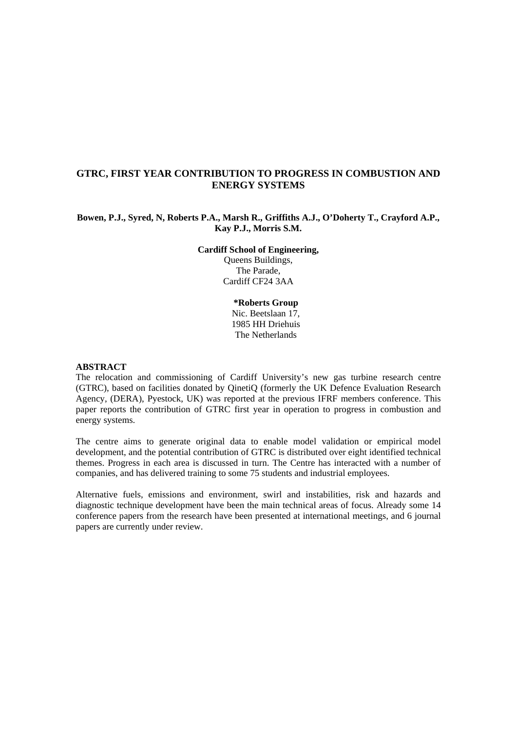# **GTRC, FIRST YEAR CONTRIBUTION TO PROGRESS IN COMBUSTION AND ENERGY SYSTEMS**

# **Bowen, P.J., Syred, N, Roberts P.A., Marsh R., Griffiths A.J., O'Doherty T., Crayford A.P., Kay P.J., Morris S.M.**

**Cardiff School of Engineering,**  Queens Buildings, The Parade, Cardiff CF24 3AA

> **\*Roberts Group**  Nic. Beetslaan 17, 1985 HH Driehuis The Netherlands

#### **ABSTRACT**

The relocation and commissioning of Cardiff University's new gas turbine research centre (GTRC), based on facilities donated by QinetiQ (formerly the UK Defence Evaluation Research Agency, (DERA), Pyestock, UK) was reported at the previous IFRF members conference. This paper reports the contribution of GTRC first year in operation to progress in combustion and energy systems.

The centre aims to generate original data to enable model validation or empirical model development, and the potential contribution of GTRC is distributed over eight identified technical themes. Progress in each area is discussed in turn. The Centre has interacted with a number of companies, and has delivered training to some 75 students and industrial employees.

Alternative fuels, emissions and environment, swirl and instabilities, risk and hazards and diagnostic technique development have been the main technical areas of focus. Already some 14 conference papers from the research have been presented at international meetings, and 6 journal papers are currently under review.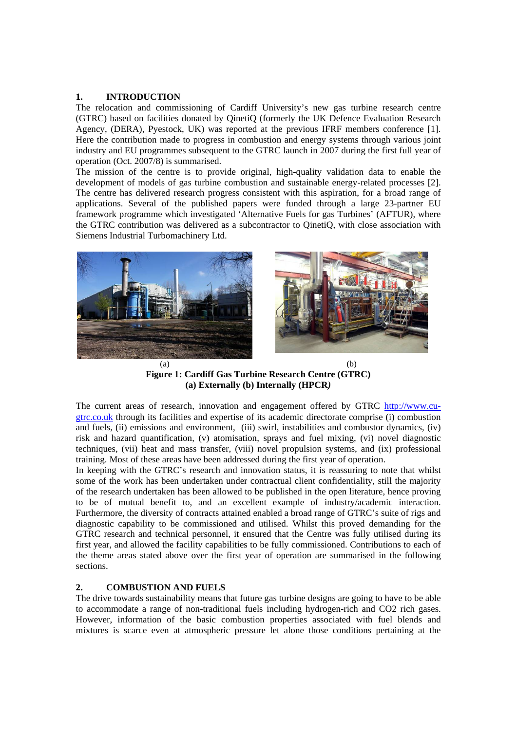### **1. INTRODUCTION**

The relocation and commissioning of Cardiff University's new gas turbine research centre (GTRC) based on facilities donated by QinetiQ (formerly the UK Defence Evaluation Research Agency, (DERA), Pyestock, UK) was reported at the previous IFRF members conference [1]. Here the contribution made to progress in combustion and energy systems through various joint industry and EU programmes subsequent to the GTRC launch in 2007 during the first full year of operation (Oct. 2007/8) is summarised.

The mission of the centre is to provide original, high-quality validation data to enable the development of models of gas turbine combustion and sustainable energy-related processes [2]. The centre has delivered research progress consistent with this aspiration, for a broad range of applications. Several of the published papers were funded through a large 23-partner EU framework programme which investigated 'Alternative Fuels for gas Turbines' (AFTUR), where the GTRC contribution was delivered as a subcontractor to QinetiQ, with close association with Siemens Industrial Turbomachinery Ltd.



**Figure 1: Cardiff Gas Turbine Research Centre (GTRC) (a) Externally (b) Internally (HPCR***)* 

The current areas of research, innovation and engagement offered by GTRC http://www.cugtrc.co.uk through its facilities and expertise of its academic directorate comprise (i) combustion and fuels, (ii) emissions and environment, (iii) swirl, instabilities and combustor dynamics, (iv) risk and hazard quantification, (v) atomisation, sprays and fuel mixing, (vi) novel diagnostic techniques, (vii) heat and mass transfer, (viii) novel propulsion systems, and (ix) professional training. Most of these areas have been addressed during the first year of operation.

In keeping with the GTRC's research and innovation status, it is reassuring to note that whilst some of the work has been undertaken under contractual client confidentiality, still the majority of the research undertaken has been allowed to be published in the open literature, hence proving to be of mutual benefit to, and an excellent example of industry/academic interaction. Furthermore, the diversity of contracts attained enabled a broad range of GTRC's suite of rigs and diagnostic capability to be commissioned and utilised. Whilst this proved demanding for the GTRC research and technical personnel, it ensured that the Centre was fully utilised during its first year, and allowed the facility capabilities to be fully commissioned. Contributions to each of the theme areas stated above over the first year of operation are summarised in the following sections.

# **2. COMBUSTION AND FUELS**

The drive towards sustainability means that future gas turbine designs are going to have to be able to accommodate a range of non-traditional fuels including hydrogen-rich and CO2 rich gases. However, information of the basic combustion properties associated with fuel blends and mixtures is scarce even at atmospheric pressure let alone those conditions pertaining at the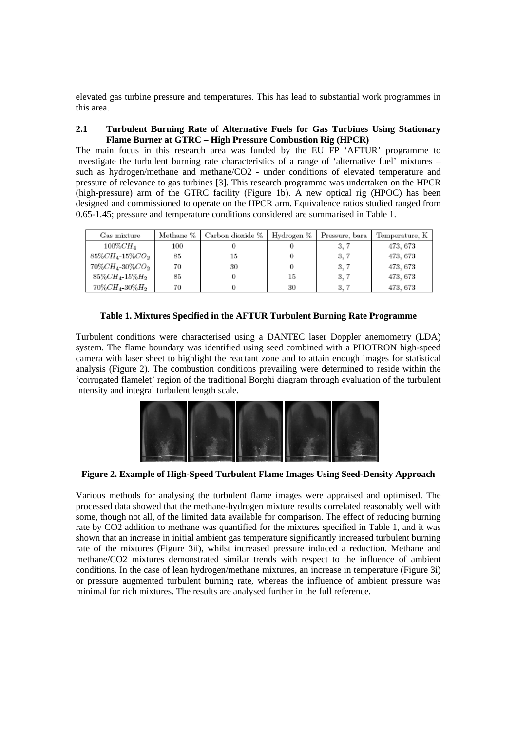elevated gas turbine pressure and temperatures. This has lead to substantial work programmes in this area.

### **2.1 Turbulent Burning Rate of Alternative Fuels for Gas Turbines Using Stationary Flame Burner at GTRC – High Pressure Combustion Rig (HPCR)**

The main focus in this research area was funded by the EU FP 'AFTUR' programme to investigate the turbulent burning rate characteristics of a range of 'alternative fuel' mixtures – such as hydrogen/methane and methane/CO2 - under conditions of elevated temperature and pressure of relevance to gas turbines [3]. This research programme was undertaken on the HPCR (high-pressure) arm of the GTRC facility (Figure 1b). A new optical rig (HPOC) has been designed and commissioned to operate on the HPCR arm. Equivalence ratios studied ranged from 0.65-1.45; pressure and temperature conditions considered are summarised in Table 1.

| Gas mixture                 | Methane % | Carbon dioxide % | Hydrogen % | Pressure, bara | Temperature, K |
|-----------------------------|-----------|------------------|------------|----------------|----------------|
| $100\%CH_{4}$               | 100       |                  |            | 3.7            | 473, 673       |
| $85\%CH_4$ -15 $\%CO_2$     | 85        | 15               |            | 3.7            | 473, 673       |
| $70\%CH_{4}$ -30 $\%CO_{2}$ | 70        | 30               |            | 3, 7           | 473, 673       |
| $85\%CH_4$ -15 $\%H_2$      | 85        |                  | 15         | 3.7            | 473, 673       |
| $70\%CH_{4}$ 30 $\%H_{2}$   | 70        |                  | 30         | 3.7            | 473, 673       |

### **Table 1. Mixtures Specified in the AFTUR Turbulent Burning Rate Programme**

Turbulent conditions were characterised using a DANTEC laser Doppler anemometry (LDA) system. The flame boundary was identified using seed combined with a PHOTRON high-speed camera with laser sheet to highlight the reactant zone and to attain enough images for statistical analysis (Figure 2). The combustion conditions prevailing were determined to reside within the 'corrugated flamelet' region of the traditional Borghi diagram through evaluation of the turbulent intensity and integral turbulent length scale.



**Figure 2. Example of High-Speed Turbulent Flame Images Using Seed-Density Approach** 

Various methods for analysing the turbulent flame images were appraised and optimised. The processed data showed that the methane-hydrogen mixture results correlated reasonably well with some, though not all, of the limited data available for comparison. The effect of reducing burning rate by CO2 addition to methane was quantified for the mixtures specified in Table 1, and it was shown that an increase in initial ambient gas temperature significantly increased turbulent burning rate of the mixtures (Figure 3ii), whilst increased pressure induced a reduction. Methane and methane/CO2 mixtures demonstrated similar trends with respect to the influence of ambient conditions. In the case of lean hydrogen/methane mixtures, an increase in temperature (Figure 3i) or pressure augmented turbulent burning rate, whereas the influence of ambient pressure was minimal for rich mixtures. The results are analysed further in the full reference.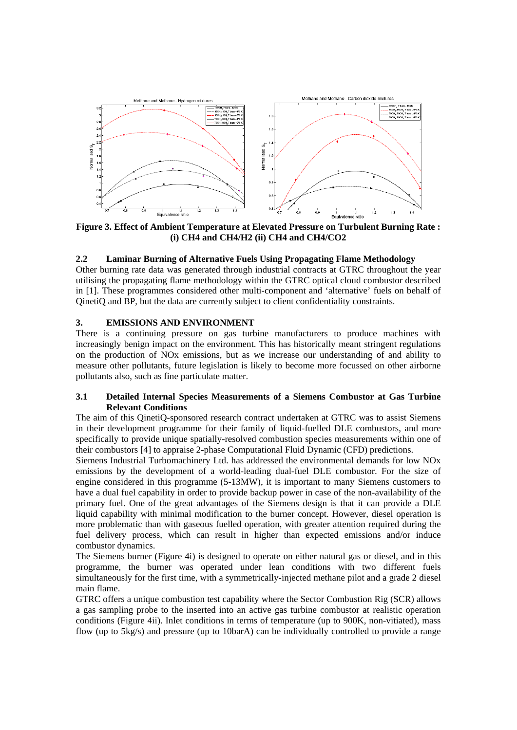

**Figure 3. Effect of Ambient Temperature at Elevated Pressure on Turbulent Burning Rate : (i) CH4 and CH4/H2 (ii) CH4 and CH4/CO2** 

### **2.2 Laminar Burning of Alternative Fuels Using Propagating Flame Methodology**

Other burning rate data was generated through industrial contracts at GTRC throughout the year utilising the propagating flame methodology within the GTRC optical cloud combustor described in [1]. These programmes considered other multi-component and 'alternative' fuels on behalf of QinetiQ and BP, but the data are currently subject to client confidentiality constraints.

### **3. EMISSIONS AND ENVIRONMENT**

There is a continuing pressure on gas turbine manufacturers to produce machines with increasingly benign impact on the environment. This has historically meant stringent regulations on the production of NOx emissions, but as we increase our understanding of and ability to measure other pollutants, future legislation is likely to become more focussed on other airborne pollutants also, such as fine particulate matter.

### **3.1 Detailed Internal Species Measurements of a Siemens Combustor at Gas Turbine Relevant Conditions**

The aim of this QinetiQ-sponsored research contract undertaken at GTRC was to assist Siemens in their development programme for their family of liquid-fuelled DLE combustors, and more specifically to provide unique spatially-resolved combustion species measurements within one of their combustors [4] to appraise 2-phase Computational Fluid Dynamic (CFD) predictions.

Siemens Industrial Turbomachinery Ltd. has addressed the environmental demands for low NOx emissions by the development of a world-leading dual-fuel DLE combustor. For the size of engine considered in this programme (5-13MW), it is important to many Siemens customers to have a dual fuel capability in order to provide backup power in case of the non-availability of the primary fuel. One of the great advantages of the Siemens design is that it can provide a DLE liquid capability with minimal modification to the burner concept. However, diesel operation is more problematic than with gaseous fuelled operation, with greater attention required during the fuel delivery process, which can result in higher than expected emissions and/or induce combustor dynamics.

The Siemens burner (Figure 4i) is designed to operate on either natural gas or diesel, and in this programme, the burner was operated under lean conditions with two different fuels simultaneously for the first time, with a symmetrically-injected methane pilot and a grade 2 diesel main flame.

GTRC offers a unique combustion test capability where the Sector Combustion Rig (SCR) allows a gas sampling probe to the inserted into an active gas turbine combustor at realistic operation conditions (Figure 4ii). Inlet conditions in terms of temperature (up to 900K, non-vitiated), mass flow (up to 5kg/s) and pressure (up to 10barA) can be individually controlled to provide a range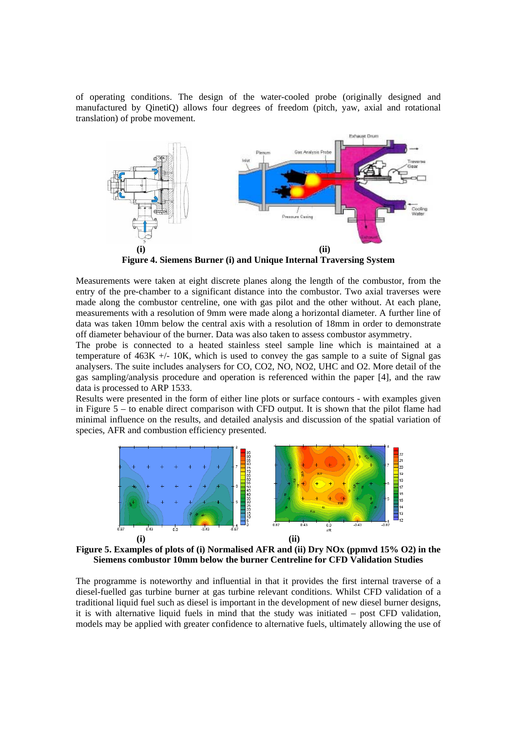of operating conditions. The design of the water-cooled probe (originally designed and manufactured by QinetiQ) allows four degrees of freedom (pitch, yaw, axial and rotational translation) of probe movement.



**Figure 4. Siemens Burner (i) and Unique Internal Traversing System** 

Measurements were taken at eight discrete planes along the length of the combustor, from the entry of the pre-chamber to a significant distance into the combustor. Two axial traverses were made along the combustor centreline, one with gas pilot and the other without. At each plane, measurements with a resolution of 9mm were made along a horizontal diameter. A further line of data was taken 10mm below the central axis with a resolution of 18mm in order to demonstrate off diameter behaviour of the burner. Data was also taken to assess combustor asymmetry.

The probe is connected to a heated stainless steel sample line which is maintained at a temperature of  $463K +10K$ , which is used to convey the gas sample to a suite of Signal gas analysers. The suite includes analysers for CO, CO2, NO, NO2, UHC and O2. More detail of the gas sampling/analysis procedure and operation is referenced within the paper [4], and the raw data is processed to ARP 1533.

Results were presented in the form of either line plots or surface contours - with examples given in Figure 5 – to enable direct comparison with CFD output. It is shown that the pilot flame had minimal influence on the results, and detailed analysis and discussion of the spatial variation of species, AFR and combustion efficiency presented.



**Figure 5. Examples of plots of (i) Normalised AFR and (ii) Dry NOx (ppmvd 15% O2) in the Siemens combustor 10mm below the burner Centreline for CFD Validation Studies** 

The programme is noteworthy and influential in that it provides the first internal traverse of a diesel-fuelled gas turbine burner at gas turbine relevant conditions. Whilst CFD validation of a traditional liquid fuel such as diesel is important in the development of new diesel burner designs, it is with alternative liquid fuels in mind that the study was initiated – post CFD validation, models may be applied with greater confidence to alternative fuels, ultimately allowing the use of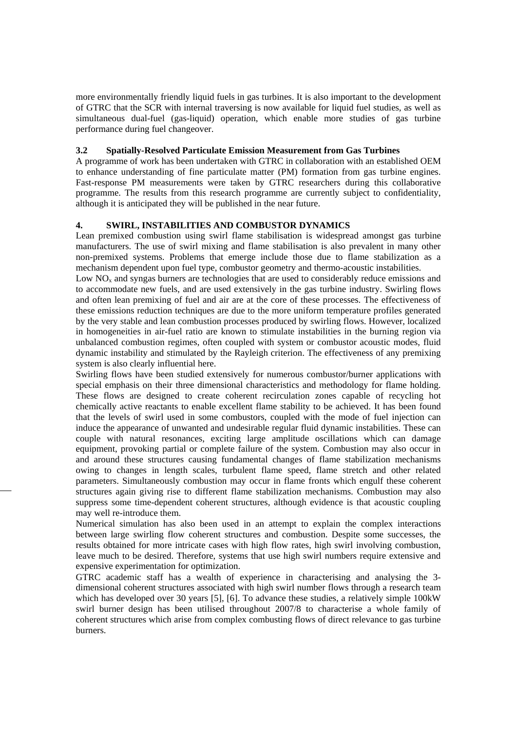more environmentally friendly liquid fuels in gas turbines. It is also important to the development of GTRC that the SCR with internal traversing is now available for liquid fuel studies, as well as simultaneous dual-fuel (gas-liquid) operation, which enable more studies of gas turbine performance during fuel changeover.

## **3.2 Spatially-Resolved Particulate Emission Measurement from Gas Turbines**

A programme of work has been undertaken with GTRC in collaboration with an established OEM to enhance understanding of fine particulate matter (PM) formation from gas turbine engines. Fast-response PM measurements were taken by GTRC researchers during this collaborative programme. The results from this research programme are currently subject to confidentiality, although it is anticipated they will be published in the near future.

# **4. SWIRL, INSTABILITIES AND COMBUSTOR DYNAMICS**

Lean premixed combustion using swirl flame stabilisation is widespread amongst gas turbine manufacturers. The use of swirl mixing and flame stabilisation is also prevalent in many other non-premixed systems. Problems that emerge include those due to flame stabilization as a mechanism dependent upon fuel type, combustor geometry and thermo-acoustic instabilities.

Low NO<sub>x</sub> and syngas burners are technologies that are used to considerably reduce emissions and to accommodate new fuels, and are used extensively in the gas turbine industry. Swirling flows and often lean premixing of fuel and air are at the core of these processes. The effectiveness of these emissions reduction techniques are due to the more uniform temperature profiles generated by the very stable and lean combustion processes produced by swirling flows. However, localized in homogeneities in air-fuel ratio are known to stimulate instabilities in the burning region via unbalanced combustion regimes, often coupled with system or combustor acoustic modes, fluid dynamic instability and stimulated by the Rayleigh criterion. The effectiveness of any premixing system is also clearly influential here.

Swirling flows have been studied extensively for numerous combustor/burner applications with special emphasis on their three dimensional characteristics and methodology for flame holding. These flows are designed to create coherent recirculation zones capable of recycling hot chemically active reactants to enable excellent flame stability to be achieved. It has been found that the levels of swirl used in some combustors, coupled with the mode of fuel injection can induce the appearance of unwanted and undesirable regular fluid dynamic instabilities. These can couple with natural resonances, exciting large amplitude oscillations which can damage equipment, provoking partial or complete failure of the system. Combustion may also occur in and around these structures causing fundamental changes of flame stabilization mechanisms owing to changes in length scales, turbulent flame speed, flame stretch and other related parameters. Simultaneously combustion may occur in flame fronts which engulf these coherent structures again giving rise to different flame stabilization mechanisms. Combustion may also suppress some time-dependent coherent structures, although evidence is that acoustic coupling may well re-introduce them.

Numerical simulation has also been used in an attempt to explain the complex interactions between large swirling flow coherent structures and combustion. Despite some successes, the results obtained for more intricate cases with high flow rates, high swirl involving combustion, leave much to be desired. Therefore, systems that use high swirl numbers require extensive and expensive experimentation for optimization.

GTRC academic staff has a wealth of experience in characterising and analysing the 3 dimensional coherent structures associated with high swirl number flows through a research team which has developed over 30 years [5], [6]. To advance these studies, a relatively simple 100kW swirl burner design has been utilised throughout 2007/8 to characterise a whole family of coherent structures which arise from complex combusting flows of direct relevance to gas turbine burners.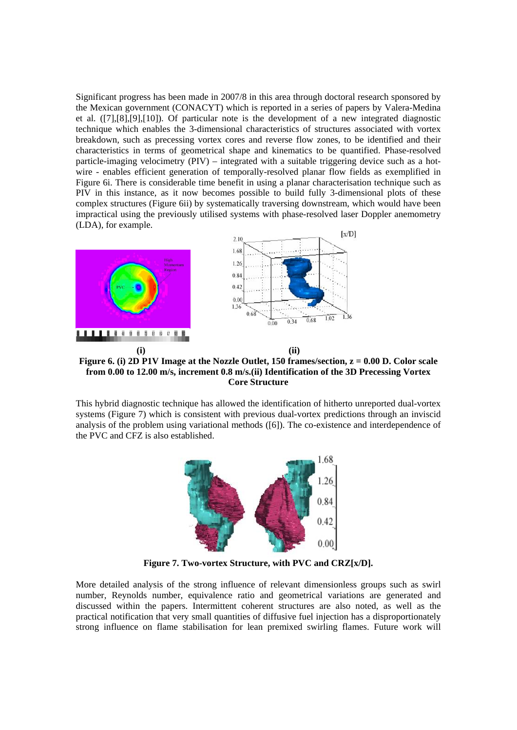Significant progress has been made in 2007/8 in this area through doctoral research sponsored by the Mexican government (CONACYT) which is reported in a series of papers by Valera-Medina et al. ([7],[8],[9],[10]). Of particular note is the development of a new integrated diagnostic technique which enables the 3-dimensional characteristics of structures associated with vortex breakdown, such as precessing vortex cores and reverse flow zones, to be identified and their characteristics in terms of geometrical shape and kinematics to be quantified. Phase-resolved particle-imaging velocimetry (PIV) – integrated with a suitable triggering device such as a hotwire - enables efficient generation of temporally-resolved planar flow fields as exemplified in Figure 6i. There is considerable time benefit in using a planar characterisation technique such as PIV in this instance, as it now becomes possible to build fully 3-dimensional plots of these complex structures (Figure 6ii) by systematically traversing downstream, which would have been impractical using the previously utilised systems with phase-resolved laser Doppler anemometry (LDA), for example.



**Figure 6. (i) 2D P1V Image at the Nozzle Outlet, 150 frames/section, z = 0.00 D. Color scale from 0.00 to 12.00 m/s, increment 0.8 m/s.(ii) Identification of the 3D Precessing Vortex Core Structure** 

This hybrid diagnostic technique has allowed the identification of hitherto unreported dual-vortex systems (Figure 7) which is consistent with previous dual-vortex predictions through an inviscid analysis of the problem using variational methods ([6]). The co-existence and interdependence of the PVC and CFZ is also established.



**Figure 7. Two-vortex Structure, with PVC and CRZ[x/D].** 

More detailed analysis of the strong influence of relevant dimensionless groups such as swirl number, Reynolds number, equivalence ratio and geometrical variations are generated and discussed within the papers. Intermittent coherent structures are also noted, as well as the practical notification that very small quantities of diffusive fuel injection has a disproportionately strong influence on flame stabilisation for lean premixed swirling flames. Future work will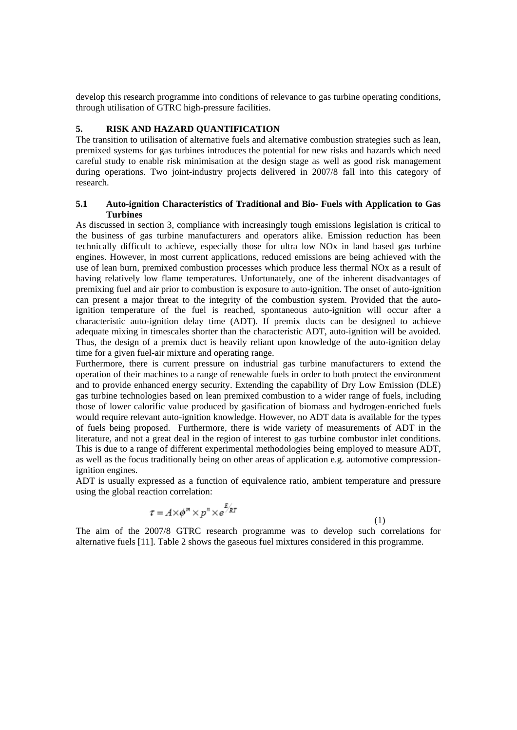develop this research programme into conditions of relevance to gas turbine operating conditions, through utilisation of GTRC high-pressure facilities.

# **5. RISK AND HAZARD QUANTIFICATION**

The transition to utilisation of alternative fuels and alternative combustion strategies such as lean, premixed systems for gas turbines introduces the potential for new risks and hazards which need careful study to enable risk minimisation at the design stage as well as good risk management during operations. Two joint-industry projects delivered in 2007/8 fall into this category of research.

## **5.1 Auto-ignition Characteristics of Traditional and Bio- Fuels with Application to Gas Turbines**

As discussed in section 3, compliance with increasingly tough emissions legislation is critical to the business of gas turbine manufacturers and operators alike. Emission reduction has been technically difficult to achieve, especially those for ultra low NOx in land based gas turbine engines. However, in most current applications, reduced emissions are being achieved with the use of lean burn, premixed combustion processes which produce less thermal NOx as a result of having relatively low flame temperatures. Unfortunately, one of the inherent disadvantages of premixing fuel and air prior to combustion is exposure to auto-ignition. The onset of auto-ignition can present a major threat to the integrity of the combustion system. Provided that the autoignition temperature of the fuel is reached, spontaneous auto-ignition will occur after a characteristic auto-ignition delay time (ADT). If premix ducts can be designed to achieve adequate mixing in timescales shorter than the characteristic ADT, auto-ignition will be avoided. Thus, the design of a premix duct is heavily reliant upon knowledge of the auto-ignition delay time for a given fuel-air mixture and operating range.

Furthermore, there is current pressure on industrial gas turbine manufacturers to extend the operation of their machines to a range of renewable fuels in order to both protect the environment and to provide enhanced energy security. Extending the capability of Dry Low Emission (DLE) gas turbine technologies based on lean premixed combustion to a wider range of fuels, including those of lower calorific value produced by gasification of biomass and hydrogen-enriched fuels would require relevant auto-ignition knowledge. However, no ADT data is available for the types of fuels being proposed. Furthermore, there is wide variety of measurements of ADT in the literature, and not a great deal in the region of interest to gas turbine combustor inlet conditions. This is due to a range of different experimental methodologies being employed to measure ADT, as well as the focus traditionally being on other areas of application e.g. automotive compressionignition engines.

ADT is usually expressed as a function of equivalence ratio, ambient temperature and pressure using the global reaction correlation:

$$
\tau = A \times \phi^m \times p^n \times e^{\frac{E}{2R}}
$$

(1)

The aim of the 2007/8 GTRC research programme was to develop such correlations for alternative fuels [11]. Table 2 shows the gaseous fuel mixtures considered in this programme.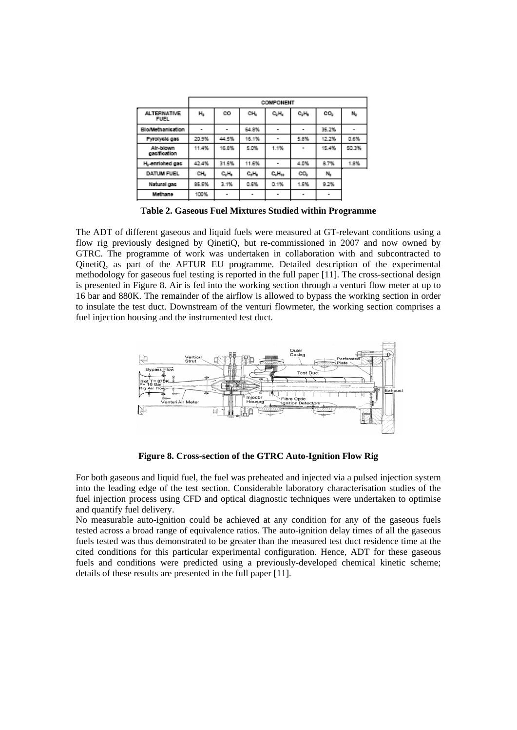|                                   | COMPONENT |          |          |                               |                          |       |       |
|-----------------------------------|-----------|----------|----------|-------------------------------|--------------------------|-------|-------|
| <b>ALTERNATIVE</b><br><b>FUEL</b> | $H_2$     | co       | CH,      | C <sub>2</sub> H <sub>4</sub> | $C_2H_0$                 | CO,   | N,    |
| <b>Blo/Methanication</b>          |           |          | 64.8%    |                               |                          | 35.2% | ۰     |
| Pyrolycic gac                     | 20.9%     | 44.5%    | 16.1%    |                               | 5.8%                     | 12.2% | 0.6%  |
| Air-blown<br>gasification         | 11.4%     | 16.8%    | 5.0%     | 1.1%                          |                          | 15.4% | 50.3% |
| H <sub>i-</sub> enriched gas      | 42.4%     | 31.5%    | 11.6%    |                               | 4.0%                     | 8.7%  | 1.8%  |
| DATUM FUEL                        | CH,       | $C_2H_0$ | $C_2H_0$ | $C_4H_{10}$                   | co,                      | N,    |       |
| Natural gas                       | 85.5%     | 3.1%     | 0.6%     | 0.1%                          | 1.5%                     | 9.2%  |       |
| Methane                           | 100%      | ۰        | ۰        | ۰                             | $\overline{\phantom{a}}$ | ٠     |       |
|                                   |           |          |          |                               |                          |       |       |

**Table 2. Gaseous Fuel Mixtures Studied within Programme** 

The ADT of different gaseous and liquid fuels were measured at GT-relevant conditions using a flow rig previously designed by QinetiQ, but re-commissioned in 2007 and now owned by GTRC. The programme of work was undertaken in collaboration with and subcontracted to QinetiQ, as part of the AFTUR EU programme. Detailed description of the experimental methodology for gaseous fuel testing is reported in the full paper [11]. The cross-sectional design is presented in Figure 8. Air is fed into the working section through a venturi flow meter at up to 16 bar and 880K. The remainder of the airflow is allowed to bypass the working section in order to insulate the test duct. Downstream of the venturi flowmeter, the working section comprises a fuel injection housing and the instrumented test duct.



**Figure 8. Cross-section of the GTRC Auto-Ignition Flow Rig** 

For both gaseous and liquid fuel, the fuel was preheated and injected via a pulsed injection system into the leading edge of the test section. Considerable laboratory characterisation studies of the fuel injection process using CFD and optical diagnostic techniques were undertaken to optimise and quantify fuel delivery.

No measurable auto-ignition could be achieved at any condition for any of the gaseous fuels tested across a broad range of equivalence ratios. The auto-ignition delay times of all the gaseous fuels tested was thus demonstrated to be greater than the measured test duct residence time at the cited conditions for this particular experimental configuration. Hence, ADT for these gaseous fuels and conditions were predicted using a previously-developed chemical kinetic scheme; details of these results are presented in the full paper [11].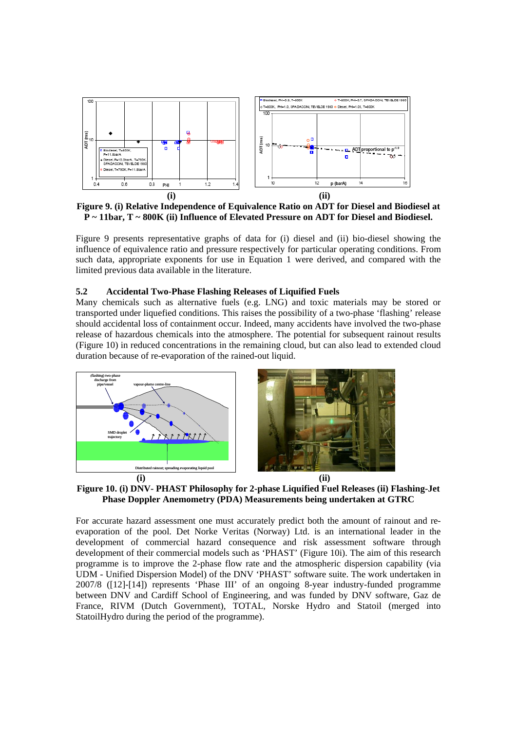

**Figure 9. (i) Relative Independence of Equivalence Ratio on ADT for Diesel and Biodiesel at P ~ 11bar, T ~ 800K (ii) Influence of Elevated Pressure on ADT for Diesel and Biodiesel.** 

Figure 9 presents representative graphs of data for (i) diesel and (ii) bio-diesel showing the influence of equivalence ratio and pressure respectively for particular operating conditions. From such data, appropriate exponents for use in Equation 1 were derived, and compared with the limited previous data available in the literature.

### **5.2 Accidental Two-Phase Flashing Releases of Liquified Fuels**

Many chemicals such as alternative fuels (e.g. LNG) and toxic materials may be stored or transported under liquefied conditions. This raises the possibility of a two-phase 'flashing' release should accidental loss of containment occur. Indeed, many accidents have involved the two-phase release of hazardous chemicals into the atmosphere. The potential for subsequent rainout results (Figure 10) in reduced concentrations in the remaining cloud, but can also lead to extended cloud duration because of re-evaporation of the rained-out liquid.



**Figure 10. (i) DNV- PHAST Philosophy for 2-phase Liquified Fuel Releases (ii) Flashing-Jet Phase Doppler Anemometry (PDA) Measurements being undertaken at GTRC** 

For accurate hazard assessment one must accurately predict both the amount of rainout and reevaporation of the pool. Det Norke Veritas (Norway) Ltd. is an international leader in the development of commercial hazard consequence and risk assessment software through development of their commercial models such as 'PHAST' (Figure 10i). The aim of this research programme is to improve the 2-phase flow rate and the atmospheric dispersion capability (via UDM - Unified Dispersion Model) of the DNV 'PHAST' software suite. The work undertaken in 2007/8 ([12]-[14]) represents 'Phase III' of an ongoing 8-year industry-funded programme between DNV and Cardiff School of Engineering, and was funded by DNV software, Gaz de France, RIVM (Dutch Government), TOTAL, Norske Hydro and Statoil (merged into StatoilHydro during the period of the programme).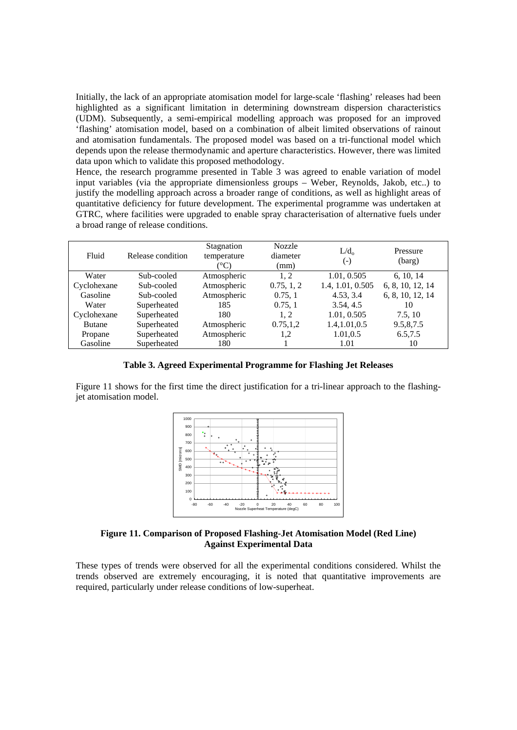Initially, the lack of an appropriate atomisation model for large-scale 'flashing' releases had been highlighted as a significant limitation in determining downstream dispersion characteristics (UDM). Subsequently, a semi-empirical modelling approach was proposed for an improved 'flashing' atomisation model, based on a combination of albeit limited observations of rainout and atomisation fundamentals. The proposed model was based on a tri-functional model which depends upon the release thermodynamic and aperture characteristics. However, there was limited data upon which to validate this proposed methodology.

Hence, the research programme presented in Table 3 was agreed to enable variation of model input variables (via the appropriate dimensionless groups – Weber, Reynolds, Jakob, etc..) to justify the modelling approach across a broader range of conditions, as well as highlight areas of quantitative deficiency for future development. The experimental programme was undertaken at GTRC, where facilities were upgraded to enable spray characterisation of alternative fuels under a broad range of release conditions.

| Fluid         | Release condition | Stagnation<br>temperature<br>$^{\circ}\mathrm{C}$ | <b>Nozzle</b><br>diameter<br>(mm) | $L/d_0$<br>(-)   | Pressure<br>(barg) |
|---------------|-------------------|---------------------------------------------------|-----------------------------------|------------------|--------------------|
| Water         | Sub-cooled        | Atmospheric                                       | 1, 2                              | 1.01, 0.505      | 6, 10, 14          |
| Cyclohexane   | Sub-cooled        | Atmospheric                                       | 0.75, 1, 2                        | 1.4, 1.01, 0.505 | 6, 8, 10, 12, 14   |
| Gasoline      | Sub-cooled        | Atmospheric                                       | 0.75, 1                           | 4.53, 3.4        | 6, 8, 10, 12, 14   |
| Water         | Superheated       | 185                                               | 0.75, 1                           | 3.54, 4.5        | 10                 |
| Cyclohexane   | Superheated       | 180                                               | 1, 2                              | 1.01, 0.505      | 7.5.10             |
| <b>Butane</b> | Superheated       | Atmospheric                                       | 0.75, 1.2                         | 1.4,1.01,0.5     | 9.5,8,7.5          |
| Propane       | Superheated       | Atmospheric                                       | 1,2                               | 1.01,0.5         | 6.5,7.5            |
| Gasoline      | Superheated       | 180                                               |                                   | 1.01             | 10                 |

**Table 3. Agreed Experimental Programme for Flashing Jet Releases** 

Figure 11 shows for the first time the direct justification for a tri-linear approach to the flashingjet atomisation model.



**Figure 11. Comparison of Proposed Flashing-Jet Atomisation Model (Red Line) Against Experimental Data** 

These types of trends were observed for all the experimental conditions considered. Whilst the trends observed are extremely encouraging, it is noted that quantitative improvements are required, particularly under release conditions of low-superheat.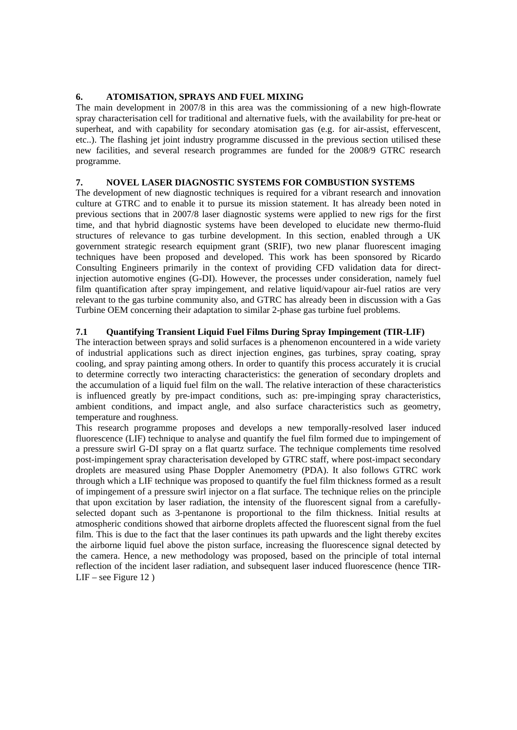# **6. ATOMISATION, SPRAYS AND FUEL MIXING**

The main development in 2007/8 in this area was the commissioning of a new high-flowrate spray characterisation cell for traditional and alternative fuels, with the availability for pre-heat or superheat, and with capability for secondary atomisation gas (e.g. for air-assist, effervescent, etc..). The flashing jet joint industry programme discussed in the previous section utilised these new facilities, and several research programmes are funded for the 2008/9 GTRC research programme.

# **7. NOVEL LASER DIAGNOSTIC SYSTEMS FOR COMBUSTION SYSTEMS**

The development of new diagnostic techniques is required for a vibrant research and innovation culture at GTRC and to enable it to pursue its mission statement. It has already been noted in previous sections that in 2007/8 laser diagnostic systems were applied to new rigs for the first time, and that hybrid diagnostic systems have been developed to elucidate new thermo-fluid structures of relevance to gas turbine development. In this section, enabled through a UK government strategic research equipment grant (SRIF), two new planar fluorescent imaging techniques have been proposed and developed. This work has been sponsored by Ricardo Consulting Engineers primarily in the context of providing CFD validation data for directinjection automotive engines (G-DI). However, the processes under consideration, namely fuel film quantification after spray impingement, and relative liquid/vapour air-fuel ratios are very relevant to the gas turbine community also, and GTRC has already been in discussion with a Gas Turbine OEM concerning their adaptation to similar 2-phase gas turbine fuel problems.

# **7.1 Quantifying Transient Liquid Fuel Films During Spray Impingement (TIR-LIF)**

The interaction between sprays and solid surfaces is a phenomenon encountered in a wide variety of industrial applications such as direct injection engines, gas turbines, spray coating, spray cooling, and spray painting among others. In order to quantify this process accurately it is crucial to determine correctly two interacting characteristics: the generation of secondary droplets and the accumulation of a liquid fuel film on the wall. The relative interaction of these characteristics is influenced greatly by pre-impact conditions, such as: pre-impinging spray characteristics, ambient conditions, and impact angle, and also surface characteristics such as geometry, temperature and roughness.

This research programme proposes and develops a new temporally-resolved laser induced fluorescence (LIF) technique to analyse and quantify the fuel film formed due to impingement of a pressure swirl G-DI spray on a flat quartz surface. The technique complements time resolved post-impingement spray characterisation developed by GTRC staff, where post-impact secondary droplets are measured using Phase Doppler Anemometry (PDA). It also follows GTRC work through which a LIF technique was proposed to quantify the fuel film thickness formed as a result of impingement of a pressure swirl injector on a flat surface. The technique relies on the principle that upon excitation by laser radiation, the intensity of the fluorescent signal from a carefullyselected dopant such as 3-pentanone is proportional to the film thickness. Initial results at atmospheric conditions showed that airborne droplets affected the fluorescent signal from the fuel film. This is due to the fact that the laser continues its path upwards and the light thereby excites the airborne liquid fuel above the piston surface, increasing the fluorescence signal detected by the camera. Hence, a new methodology was proposed, based on the principle of total internal reflection of the incident laser radiation, and subsequent laser induced fluorescence (hence TIR- $LIF - see Figure 12$ )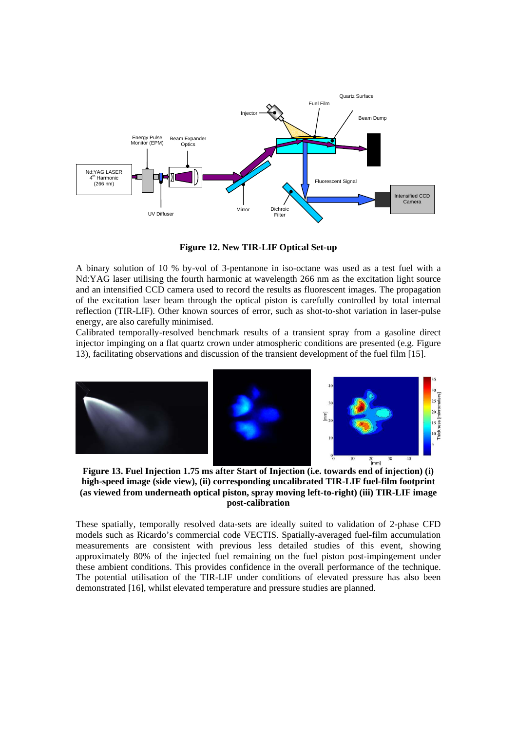

**Figure 12. New TIR-LIF Optical Set-up** 

A binary solution of 10 % by-vol of 3-pentanone in iso-octane was used as a test fuel with a Nd:YAG laser utilising the fourth harmonic at wavelength 266 nm as the excitation light source and an intensified CCD camera used to record the results as fluorescent images. The propagation of the excitation laser beam through the optical piston is carefully controlled by total internal reflection (TIR-LIF). Other known sources of error, such as shot-to-shot variation in laser-pulse energy, are also carefully minimised.

Calibrated temporally-resolved benchmark results of a transient spray from a gasoline direct injector impinging on a flat quartz crown under atmospheric conditions are presented (e.g. Figure 13), facilitating observations and discussion of the transient development of the fuel film [15].



**Figure 13. Fuel Injection 1.75 ms after Start of Injection (i.e. towards end of injection) (i) high-speed image (side view), (ii) corresponding uncalibrated TIR-LIF fuel-film footprint (as viewed from underneath optical piston, spray moving left-to-right) (iii) TIR-LIF image post-calibration** 

These spatially, temporally resolved data-sets are ideally suited to validation of 2-phase CFD models such as Ricardo's commercial code VECTIS. Spatially-averaged fuel-film accumulation measurements are consistent with previous less detailed studies of this event, showing approximately 80% of the injected fuel remaining on the fuel piston post-impingement under these ambient conditions. This provides confidence in the overall performance of the technique. The potential utilisation of the TIR-LIF under conditions of elevated pressure has also been demonstrated [16], whilst elevated temperature and pressure studies are planned.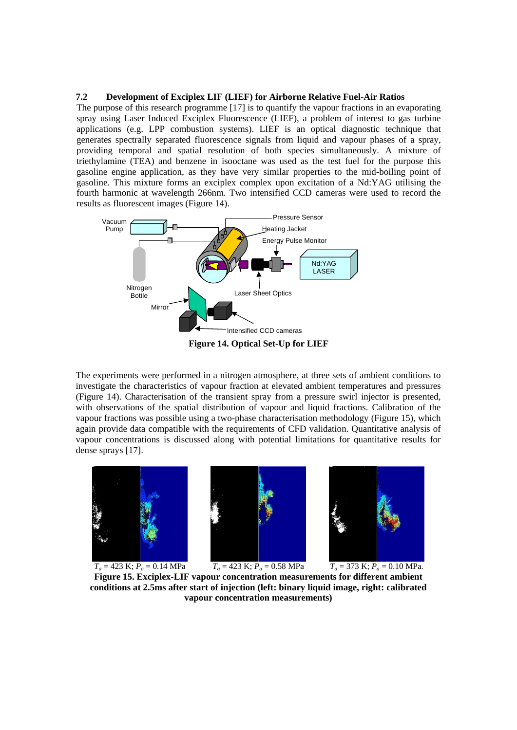#### **7.2 Development of Exciplex LIF (LIEF) for Airborne Relative Fuel-Air Ratios**

The purpose of this research programme [17] is to quantify the vapour fractions in an evaporating spray using Laser Induced Exciplex Fluorescence (LIEF), a problem of interest to gas turbine applications (e.g. LPP combustion systems). LIEF is an optical diagnostic technique that generates spectrally separated fluorescence signals from liquid and vapour phases of a spray, providing temporal and spatial resolution of both species simultaneously. A mixture of triethylamine (TEA) and benzene in isooctane was used as the test fuel for the purpose this gasoline engine application, as they have very similar properties to the mid-boiling point of gasoline. This mixture forms an exciplex complex upon excitation of a Nd:YAG utilising the fourth harmonic at wavelength 266nm. Two intensified CCD cameras were used to record the results as fluorescent images (Figure 14).



The experiments were performed in a nitrogen atmosphere, at three sets of ambient conditions to investigate the characteristics of vapour fraction at elevated ambient temperatures and pressures (Figure 14). Characterisation of the transient spray from a pressure swirl injector is presented, with observations of the spatial distribution of vapour and liquid fractions. Calibration of the vapour fractions was possible using a two-phase characterisation methodology (Figure 15), which again provide data compatible with the requirements of CFD validation. Quantitative analysis of vapour concentrations is discussed along with potential limitations for quantitative results for dense sprays [17].







 $T_a = 423 \text{ K}; P_a = 0.14 \text{ MPa}$   $T_a = 423 \text{ K}; P_a = 0.58 \text{ MPa}$   $T_a = 373 \text{ K}; P_a = 0.10 \text{ MPa}.$ **Figure 15. Exciplex-LIF vapour concentration measurements for different ambient conditions at 2.5ms after start of injection (left: binary liquid image, right: calibrated vapour concentration measurements)**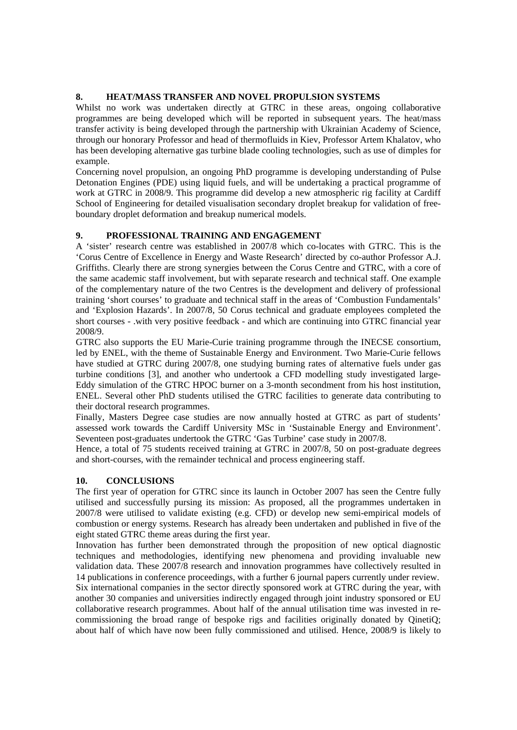## **8. HEAT/MASS TRANSFER AND NOVEL PROPULSION SYSTEMS**

Whilst no work was undertaken directly at GTRC in these areas, ongoing collaborative programmes are being developed which will be reported in subsequent years. The heat/mass transfer activity is being developed through the partnership with Ukrainian Academy of Science, through our honorary Professor and head of thermofluids in Kiev, Professor Artem Khalatov, who has been developing alternative gas turbine blade cooling technologies, such as use of dimples for example.

Concerning novel propulsion, an ongoing PhD programme is developing understanding of Pulse Detonation Engines (PDE) using liquid fuels, and will be undertaking a practical programme of work at GTRC in 2008/9. This programme did develop a new atmospheric rig facility at Cardiff School of Engineering for detailed visualisation secondary droplet breakup for validation of freeboundary droplet deformation and breakup numerical models.

# **9. PROFESSIONAL TRAINING AND ENGAGEMENT**

A 'sister' research centre was established in 2007/8 which co-locates with GTRC. This is the 'Corus Centre of Excellence in Energy and Waste Research' directed by co-author Professor A.J. Griffiths. Clearly there are strong synergies between the Corus Centre and GTRC, with a core of the same academic staff involvement, but with separate research and technical staff. One example of the complementary nature of the two Centres is the development and delivery of professional training 'short courses' to graduate and technical staff in the areas of 'Combustion Fundamentals' and 'Explosion Hazards'. In 2007/8, 50 Corus technical and graduate employees completed the short courses - .with very positive feedback - and which are continuing into GTRC financial year 2008/9.

GTRC also supports the EU Marie-Curie training programme through the INECSE consortium, led by ENEL, with the theme of Sustainable Energy and Environment. Two Marie-Curie fellows have studied at GTRC during 2007/8, one studying burning rates of alternative fuels under gas turbine conditions [3], and another who undertook a CFD modelling study investigated large-Eddy simulation of the GTRC HPOC burner on a 3-month secondment from his host institution, ENEL. Several other PhD students utilised the GTRC facilities to generate data contributing to their doctoral research programmes.

Finally, Masters Degree case studies are now annually hosted at GTRC as part of students' assessed work towards the Cardiff University MSc in 'Sustainable Energy and Environment'. Seventeen post-graduates undertook the GTRC 'Gas Turbine' case study in 2007/8.

Hence, a total of 75 students received training at GTRC in 2007/8, 50 on post-graduate degrees and short-courses, with the remainder technical and process engineering staff.

# **10. CONCLUSIONS**

The first year of operation for GTRC since its launch in October 2007 has seen the Centre fully utilised and successfully pursing its mission: As proposed, all the programmes undertaken in 2007/8 were utilised to validate existing (e.g. CFD) or develop new semi-empirical models of combustion or energy systems. Research has already been undertaken and published in five of the eight stated GTRC theme areas during the first year.

Innovation has further been demonstrated through the proposition of new optical diagnostic techniques and methodologies, identifying new phenomena and providing invaluable new validation data. These 2007/8 research and innovation programmes have collectively resulted in 14 publications in conference proceedings, with a further 6 journal papers currently under review. Six international companies in the sector directly sponsored work at GTRC during the year, with another 30 companies and universities indirectly engaged through joint industry sponsored or EU collaborative research programmes. About half of the annual utilisation time was invested in recommissioning the broad range of bespoke rigs and facilities originally donated by QinetiQ; about half of which have now been fully commissioned and utilised. Hence, 2008/9 is likely to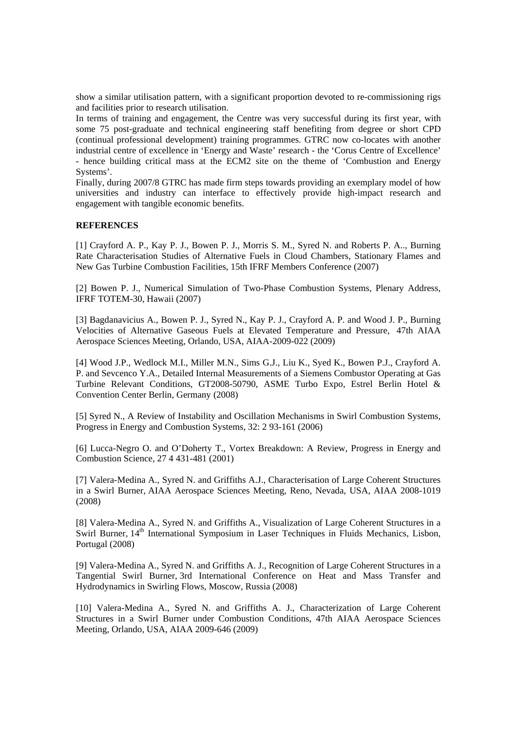show a similar utilisation pattern, with a significant proportion devoted to re-commissioning rigs and facilities prior to research utilisation.

In terms of training and engagement, the Centre was very successful during its first year, with some 75 post-graduate and technical engineering staff benefiting from degree or short CPD (continual professional development) training programmes. GTRC now co-locates with another industrial centre of excellence in 'Energy and Waste' research - the 'Corus Centre of Excellence' - hence building critical mass at the ECM2 site on the theme of 'Combustion and Energy Systems'.

Finally, during 2007/8 GTRC has made firm steps towards providing an exemplary model of how universities and industry can interface to effectively provide high-impact research and engagement with tangible economic benefits.

### **REFERENCES**

[1] Crayford A. P., Kay P. J., Bowen P. J., Morris S. M., Syred N. and Roberts P. A.., Burning Rate Characterisation Studies of Alternative Fuels in Cloud Chambers, Stationary Flames and New Gas Turbine Combustion Facilities, 15th IFRF Members Conference (2007)

[2] Bowen P. J., Numerical Simulation of Two-Phase Combustion Systems, Plenary Address, IFRF TOTEM-30, Hawaii (2007)

[3] Bagdanavicius A., Bowen P. J., Syred N., Kay P. J., Crayford A. P. and Wood J. P., Burning Velocities of Alternative Gaseous Fuels at Elevated Temperature and Pressure, 47th AIAA Aerospace Sciences Meeting, Orlando, USA, AIAA-2009-022 (2009)

[4] Wood J.P., Wedlock M.I., Miller M.N., Sims G.J., Liu K., Syed K., Bowen P.J., Crayford A. P. and Sevcenco Y.A., Detailed Internal Measurements of a Siemens Combustor Operating at Gas Turbine Relevant Conditions, GT2008-50790, ASME Turbo Expo, Estrel Berlin Hotel & Convention Center Berlin, Germany (2008)

[5] Syred N., A Review of Instability and Oscillation Mechanisms in Swirl Combustion Systems, Progress in Energy and Combustion Systems, 32: 2 93-161 (2006)

[6] Lucca-Negro O. and O'Doherty T., Vortex Breakdown: A Review, Progress in Energy and Combustion Science, 27 4 431-481 (2001)

[7] Valera-Medina A., Syred N. and Griffiths A.J., Characterisation of Large Coherent Structures in a Swirl Burner, AIAA Aerospace Sciences Meeting, Reno, Nevada, USA, AIAA 2008-1019 (2008)

[8] Valera-Medina A., Syred N. and Griffiths A., Visualization of Large Coherent Structures in a Swirl Burner, 14<sup>th</sup> International Symposium in Laser Techniques in Fluids Mechanics, Lisbon, Portugal (2008)

[9] Valera-Medina A., Syred N. and Griffiths A. J., Recognition of Large Coherent Structures in a Tangential Swirl Burner, 3rd International Conference on Heat and Mass Transfer and Hydrodynamics in Swirling Flows, Moscow, Russia (2008)

[10] Valera-Medina A., Syred N. and Griffiths A. J., Characterization of Large Coherent Structures in a Swirl Burner under Combustion Conditions, 47th AIAA Aerospace Sciences Meeting, Orlando, USA, AIAA 2009-646 (2009)